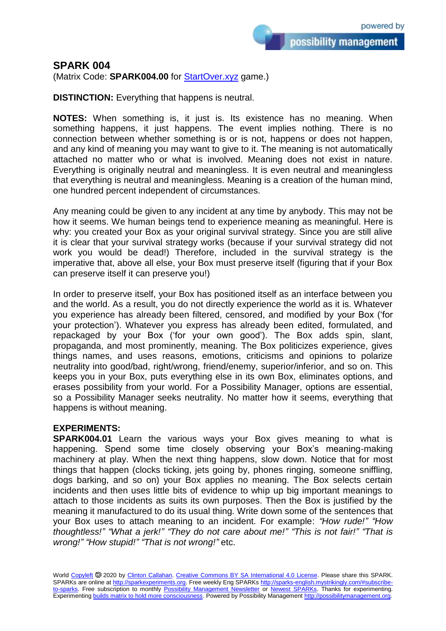possibility management

## **SPARK 004**

(Matrix Code: **SPARK004.00** for [StartOver.xyz](https://startoverxyz.mystrikingly.com/) game.)

**DISTINCTION:** Everything that happens is neutral.

**NOTES:** When something is, it just is. Its existence has no meaning. When something happens, it just happens. The event implies nothing. There is no connection between whether something is or is not, happens or does not happen, and any kind of meaning you may want to give to it. The meaning is not automatically attached no matter who or what is involved. Meaning does not exist in nature. Everything is originally neutral and meaningless. It is even neutral and meaningless that everything is neutral and meaningless. Meaning is a creation of the human mind, one hundred percent independent of circumstances.

Any meaning could be given to any incident at any time by anybody. This may not be how it seems. We human beings tend to experience meaning as meaningful. Here is why: you created your Box as your original survival strategy. Since you are still alive it is clear that your survival strategy works (because if your survival strategy did not work you would be dead!) Therefore, included in the survival strategy is the imperative that, above all else, your Box must preserve itself (figuring that if your Box can preserve itself it can preserve you!)

In order to preserve itself, your Box has positioned itself as an interface between you and the world. As a result, you do not directly experience the world as it is. Whatever you experience has already been filtered, censored, and modified by your Box ('for your protection'). Whatever you express has already been edited, formulated, and repackaged by your Box ('for your own good'). The Box adds spin, slant, propaganda, and most prominently, meaning. The Box politicizes experience, gives things names, and uses reasons, emotions, criticisms and opinions to polarize neutrality into good/bad, right/wrong, friend/enemy, superior/inferior, and so on. This keeps you in your Box, puts everything else in its own Box, eliminates options, and erases possibility from your world. For a Possibility Manager, options are essential, so a Possibility Manager seeks neutrality. No matter how it seems, everything that happens is without meaning.

## **EXPERIMENTS:**

**SPARK004.01** Learn the various ways your Box gives meaning to what is happening. Spend some time closely observing your Box's meaning-making machinery at play. When the next thing happens, slow down. Notice that for most things that happen (clocks ticking, jets going by, phones ringing, someone sniffling, dogs barking, and so on) your Box applies no meaning. The Box selects certain incidents and then uses little bits of evidence to whip up big important meanings to attach to those incidents as suits its own purposes. Then the Box is justified by the meaning it manufactured to do its usual thing. Write down some of the sentences that your Box uses to attach meaning to an incident. For example: *"How rude!" "How thoughtless!" "What a jerk!" "They do not care about me!" "This is not fair!" "That is wrong!" "How stupid!" "That is not wrong!"* etc.

World [Copyleft](https://en.wikipedia.org/wiki/Copyleft) <sup>5</sup> 2020 by [Clinton Callahan.](http://clintoncallahan.mystrikingly.com/) [Creative Commons BY SA International 4.0 License.](https://creativecommons.org/licenses/by-sa/4.0/) Please share this SPARK. SPARKs are online at [http://sparkexperiments.org.](http://sparks-english.mystrikingly.com/) Free weekly Eng SPARKs [http://sparks-english.mystrikingly.com/#subscribe](http://sparks-english.mystrikingly.com/#subscribe-to-sparks)[to-sparks.](http://sparks-english.mystrikingly.com/#subscribe-to-sparks) Free subscription to monthly [Possibility Management Newsletter](https://possibilitymanagement.org/news/) or [Newest SPARKs.](https://www.clintoncallahan.org/newsletter-1) Thanks for experimenting. Experimentin[g builds matrix to hold more consciousness.](http://spaceport.mystrikingly.com/) Powered by Possibility Managemen[t http://possibilitymanagement.org.](http://possibilitymanagement.org/)